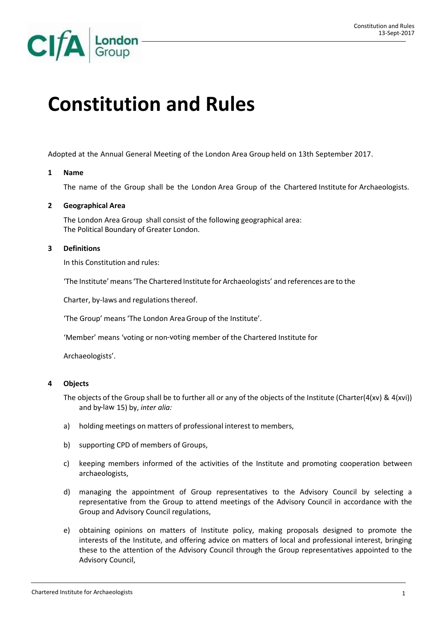

# **Constitution and Rules**

Adopted at the Annual General Meeting of the London Area Group held on 13th September 2017.

#### **1 Name**

The name of the Group shall be the London Area Group of the Chartered Institute for Archaeologists.

# **2 Geographical Area**

The London Area Group shall consist of the following geographical area: The Political Boundary of Greater London.

# **3 Definitions**

In this Constitution and rules:

'The Institute'means'The Chartered Institute for Archaeologists' and references are to the

Charter, by-laws and regulations thereof.

'The Group' means 'The London AreaGroup of the Institute'.

'Member' means 'voting or non‐voting member of the Chartered Institute for

Archaeologists'.

#### **4 Objects**

The objects of the Group shall be to further all or any of the objects of the Institute (Charter(4(xv) & 4(xvi)) and by‐law 15) by, *inter alia:*

- a) holding meetings on matters of professional interest to members,
- b) supporting CPD of members of Groups,
- c) keeping members informed of the activities of the Institute and promoting cooperation between archaeologists,
- d) managing the appointment of Group representatives to the Advisory Council by selecting a representative from the Group to attend meetings of the Advisory Council in accordance with the Group and Advisory Council regulations,
- e) obtaining opinions on matters of Institute policy, making proposals designed to promote the interests of the Institute, and offering advice on matters of local and professional interest, bringing these to the attention of the Advisory Council through the Group representatives appointed to the Advisory Council,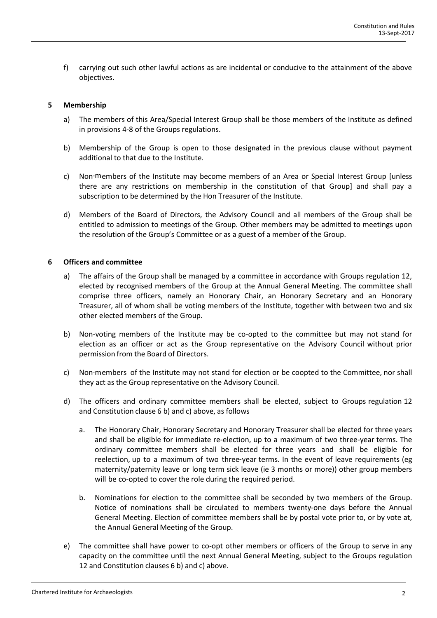f) carrying out such other lawful actions as are incidental or conducive to the attainment of the above objectives.

## **5 Membership**

- a) The members of this Area/Special Interest Group shall be those members of the Institute as defined in provisions 4‐8 of the Groups regulations.
- b) Membership of the Group is open to those designated in the previous clause without payment additional to that due to the Institute.
- c) Non‐members of the Institute may become members of an Area or Special Interest Group [unless there are any restrictions on membership in the constitution of that Group] and shall pay a subscription to be determined by the Hon Treasurer of the Institute.
- d) Members of the Board of Directors, the Advisory Council and all members of the Group shall be entitled to admission to meetings of the Group. Other members may be admitted to meetings upon the resolution of the Group's Committee or as a guest of a member of the Group.

# **6 Officers and committee**

- a) The affairs of the Group shall be managed by a committee in accordance with Groups regulation 12, elected by recognised members of the Group at the Annual General Meeting. The committee shall comprise three officers, namely an Honorary Chair, an Honorary Secretary and an Honorary Treasurer, all of whom shall be voting members of the Institute, together with between two and six other elected members of the Group.
- b) Non-voting members of the Institute may be co-opted to the committee but may not stand for election as an officer or act as the Group representative on the Advisory Council without prior permission from the Board of Directors.
- c) Non-members of the Institute may not stand for election or be coopted to the Committee, nor shall they act as the Group representative on the Advisory Council.
- d) The officers and ordinary committee members shall be elected, subject to Groups regulation 12 and Constitution clause 6 b) and c) above, as follows
	- a. The Honorary Chair, Honorary Secretary and Honorary Treasurer shall be elected for three years and shall be eligible for immediate re-election, up to a maximum of two three-year terms. The ordinary committee members shall be elected for three years and shall be eligible for reelection, up to a maximum of two three-year terms. In the event of leave requirements (eg maternity/paternity leave or long term sick leave (ie 3 months or more)) other group members will be co-opted to cover the role during the required period.
	- b. Nominations for election to the committee shall be seconded by two members of the Group. Notice of nominations shall be circulated to members twenty‐one days before the Annual General Meeting. Election of committee members shall be by postal vote prior to, or by vote at, the Annual General Meeting of the Group.
- e) The committee shall have power to co-opt other members or officers of the Group to serve in any capacity on the committee until the next Annual General Meeting, subject to the Groups regulation 12 and Constitution clauses 6 b) and c) above.